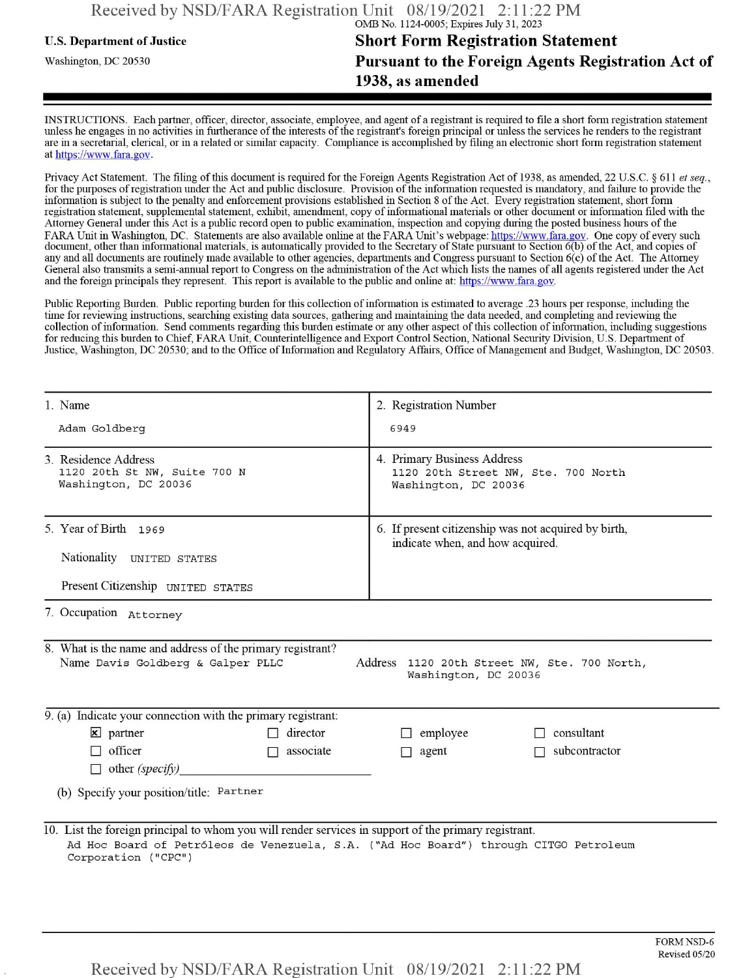## **u.s.** Department ofJustice **Short Form Registration Statement** Washington, dc <sup>20530</sup>**Pursuant to the Foreign Agents Registration Act of 1938, as amended**

INSTRUCTIONS. Each partner, officer, director, associate, employee, and agent of a registrant is required to file a short form registration statement unless he engages in no activities in furtherance ofthe interests ofthe registrant's foreign principal or unless the services he renders to the registrant are in a secretarial, clerical, or in a related or similar capacity. Compliance is accomplished by filing an electronic short form registration statement at https://www.fara.gov.

Privacy Act Statement. The filing of this document is required for the Foreign Agents Registration Act of 1938, as amended, 22 U.S.C. § 611 et seq., for the purposes ofregistration under the Act and public disclosure. Provision ofthe information requested is mandatory, and failure to provide the information is subject to the penalty and enforcement provisions established in Section 8 of the Act. Every registration statement, short form registration statement, supplemental statement, exhibit, amendment, copy ofinformational materials or other document or information filed with the Attorney General under this Act is a public record open to public examination, inspection and copying during the posted business hours ofthe FARA Unit in Washington, DC. Statements are also available online at the FARA Unit's webpage: https://www.fara.gov. One copy of every such document, other than informational materials, is automatically provided to the Secretary of State pursuant to Section 6(b) of the Act, and copies of any and all documents are routinely made available to other agencies, departments and Congress pursuant to Section 6(c) ofthe Act. The Attorney General also transmits a semi-annual report to Congress on the administration ofthe Act which lists the names of all agents registered under the Act and the foreign principals they represent. This report is available to the public and online at: https://www.fara.gov.

Public Reporting Burden. Public reporting burden for this collection ofinformation is estimated to average .23 hours per response, including the time for reviewing instructions, searching existing data sources, gathering and maintaining the data needed, and completing and reviewing the collection of information. Send comments regarding this burden estimate or any other aspect of this collection of information, including suggestions for reducing this burden to Chief, FARA Unit, Counterintelligence and Export Control Section, National Security Division, U.S. Department of Justice, Washington, DC 20530; and to the Office of Information and Regulatory Affairs, Office of Management and Budget, Washington, DC 20503.

| 1. Name                                                                                                                                                                                                               | 2. Registration Number                                                                     |
|-----------------------------------------------------------------------------------------------------------------------------------------------------------------------------------------------------------------------|--------------------------------------------------------------------------------------------|
| Adam Goldberg                                                                                                                                                                                                         | 6949                                                                                       |
| 3. Residence Address<br>1120 20th St NW, Suite 700 N<br>Washington, DC 20036                                                                                                                                          | 4. Primary Business Address<br>1120 20th Street NW, Ste. 700 North<br>Washington, DC 20036 |
| 5. Year of Birth 1969                                                                                                                                                                                                 | 6. If present citizenship was not acquired by birth,<br>indicate when, and how acquired.   |
| Nationality UNITED STATES                                                                                                                                                                                             |                                                                                            |
| Present Citizenship UNITED STATES                                                                                                                                                                                     |                                                                                            |
| 7. Occupation Attorney                                                                                                                                                                                                |                                                                                            |
| 8. What is the name and address of the primary registrant?<br>Name Davis Goldberg & Galper PLLC                                                                                                                       | Address 1120 20th Street NW, Ste. 700 North,<br>Washington, DC 20036                       |
| 9. (a) Indicate your connection with the primary registrant:                                                                                                                                                          |                                                                                            |
| $\mathbf{\times}$ partner<br>$\Box$ director                                                                                                                                                                          | $\Box$ employee<br>consultant                                                              |
| $\Box$ officer<br>associate<br>$\Box$                                                                                                                                                                                 | subcontractor<br>agent<br>П.                                                               |
| $\Box$ other (specify)<br>(b) Specify your position/title: Partner                                                                                                                                                    |                                                                                            |
| 10. List the foreign principal to whom you will render services in support of the primary registrant.<br>Ad Hoc Board of Petróleos de Venezuela, S.A. ("Ad Hoc Board") through CITGO Petroleum<br>Corporation ("CPC") |                                                                                            |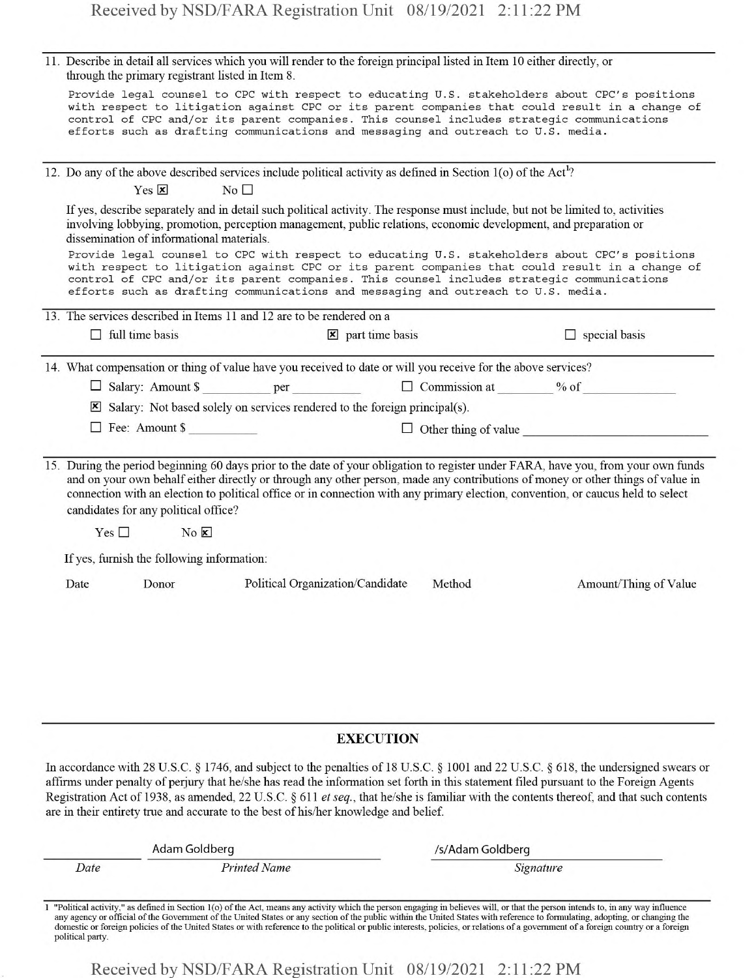|  | 11. Describe in detail all services which you will render to the foreign principal listed in Item 10 either directly, or<br>through the primary registrant listed in Item 8. |                                                                                                                            |                                   |        |                                                                                                                                                                                                                                                                                                                                                                                                           |
|--|------------------------------------------------------------------------------------------------------------------------------------------------------------------------------|----------------------------------------------------------------------------------------------------------------------------|-----------------------------------|--------|-----------------------------------------------------------------------------------------------------------------------------------------------------------------------------------------------------------------------------------------------------------------------------------------------------------------------------------------------------------------------------------------------------------|
|  |                                                                                                                                                                              | efforts such as drafting communications and messaging and outreach to U.S. media.                                          |                                   |        | Provide legal counsel to CPC with respect to educating U.S. stakeholders about CPC's positions<br>with respect to litigation against CPC or its parent companies that could result in a change of<br>control of CPC and/or its parent companies. This counsel includes strategic communications                                                                                                           |
|  |                                                                                                                                                                              | 12. Do any of the above described services include political activity as defined in Section 1(o) of the Act <sup>1</sup> ? |                                   |        |                                                                                                                                                                                                                                                                                                                                                                                                           |
|  | $Yes \nvert x$                                                                                                                                                               | No <sub>1</sub>                                                                                                            |                                   |        |                                                                                                                                                                                                                                                                                                                                                                                                           |
|  | dissemination of informational materials.                                                                                                                                    | involving lobbying, promotion, perception management, public relations, economic development, and preparation or           |                                   |        | If yes, describe separately and in detail such political activity. The response must include, but not be limited to, activities                                                                                                                                                                                                                                                                           |
|  |                                                                                                                                                                              | efforts such as drafting communications and messaging and outreach to U.S. media.                                          |                                   |        | Provide legal counsel to CPC with respect to educating U.S. stakeholders about CPC's positions<br>with respect to litigation against CPC or its parent companies that could result in a change of<br>control of CPC and/or its parent companies. This counsel includes strategic communications                                                                                                           |
|  |                                                                                                                                                                              | 13. The services described in Items 11 and 12 are to be rendered on a                                                      |                                   |        |                                                                                                                                                                                                                                                                                                                                                                                                           |
|  | $\Box$ full time basis                                                                                                                                                       |                                                                                                                            | $\mathbf{\times}$ part time basis |        | $\Box$ special basis                                                                                                                                                                                                                                                                                                                                                                                      |
|  | 14. What compensation or thing of value have you received to date or will you receive for the above services?                                                                |                                                                                                                            |                                   |        |                                                                                                                                                                                                                                                                                                                                                                                                           |
|  |                                                                                                                                                                              |                                                                                                                            |                                   |        |                                                                                                                                                                                                                                                                                                                                                                                                           |
|  |                                                                                                                                                                              | $\boxtimes$ Salary: Not based solely on services rendered to the foreign principal(s).                                     |                                   |        |                                                                                                                                                                                                                                                                                                                                                                                                           |
|  | $\Box$ Fee: Amount \$                                                                                                                                                        |                                                                                                                            |                                   |        | $\Box$ Other thing of value                                                                                                                                                                                                                                                                                                                                                                               |
|  | candidates for any political office?                                                                                                                                         |                                                                                                                            |                                   |        | 15. During the period beginning 60 days prior to the date of your obligation to register under FARA, have you, from your own funds<br>and on your own behalf either directly or through any other person, made any contributions of money or other things of value in<br>connection with an election to political office or in connection with any primary election, convention, or caucus held to select |
|  | Yes $\square$                                                                                                                                                                | $No$ $\overline{\mathbf{x}}$                                                                                               |                                   |        |                                                                                                                                                                                                                                                                                                                                                                                                           |
|  | If yes, furnish the following information:                                                                                                                                   |                                                                                                                            |                                   |        |                                                                                                                                                                                                                                                                                                                                                                                                           |
|  | Donor<br>Date                                                                                                                                                                |                                                                                                                            | Political Organization/Candidate  | Method | Amount/Thing of Value                                                                                                                                                                                                                                                                                                                                                                                     |
|  |                                                                                                                                                                              |                                                                                                                            |                                   |        |                                                                                                                                                                                                                                                                                                                                                                                                           |
|  |                                                                                                                                                                              |                                                                                                                            |                                   |        |                                                                                                                                                                                                                                                                                                                                                                                                           |
|  |                                                                                                                                                                              |                                                                                                                            |                                   |        |                                                                                                                                                                                                                                                                                                                                                                                                           |
|  |                                                                                                                                                                              |                                                                                                                            |                                   |        |                                                                                                                                                                                                                                                                                                                                                                                                           |
|  |                                                                                                                                                                              |                                                                                                                            |                                   |        |                                                                                                                                                                                                                                                                                                                                                                                                           |

## **EXECUTION**

In accordance with 28 U.S.C. § 1746, and subject to the penalties of 18 U.S.C. § 1001 and 22 U.S.C. § 618, the undersigned swears or affirms under penalty of perjury that he/she has read the information set forth in this statement filed pursuant to the Foreign Agents Registration Act of 1938, as amended, 22 U.S.C. § 611 *etseq.,* that he/she is familiar with the contents thereof, and that such contents are in their entirety true and accurate to the best of his/her knowledge and belief.

| Adam Goldberg |                     | /s/Adam Goldberg |  |
|---------------|---------------------|------------------|--|
| Date          | <b>Printed Name</b> | Signature        |  |

<sup>1</sup> "Political activity." as defined in Section l(o) ofthe Act, means any activity which the person engaging in believes will, or that the person intends to, in any way influence any agency or official of the Government of the United States or any section of the public within the United States with reference to formulating, adopting, or changing the domestic or foreign policies of the United States or with reference to the political or public interests, policies, or relations of a government of a foreign country or a foreign political party.

Received by NSD/FARA Registration Unit 08/19/2021 2:11:22 PM